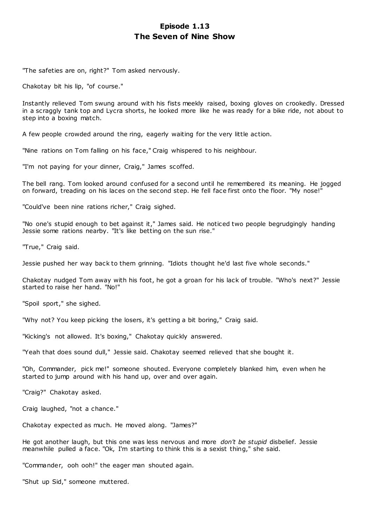# **Episode 1.13 The Seven of Nine Show**

"The safeties are on, right?" Tom asked nervously.

Chakotay bit his lip, "of course."

Instantly relieved Tom swung around with his fists meekly raised, boxing gloves on crookedly. Dressed in a scraggly tank top and Lycra shorts, he looked more like he was ready for a bike ride, not about to step into a boxing match.

A few people crowded around the ring, eagerly waiting for the very little action.

"Nine rations on Tom falling on his face," Craig whispered to his neighbour.

"I'm not paying for your dinner, Craig," James scoffed.

The bell rang. Tom looked around confused for a second until he remembered its meaning. He jogged on forward, treading on his laces on the second step. He fell face first onto the floor. "My nose!"

"Could've been nine rations richer," Craig sighed.

"No one's stupid enough to bet against it," James said. He noticed two people begrudgingly handing Jessie some rations nearby. "It's like betting on the sun rise."

"True," Craig said.

Jessie pushed her way back to them grinning. "Idiots thought he'd last five whole seconds."

Chakotay nudged Tom away with his foot, he got a groan for his lack of trouble. "Who's next?" Jessie started to raise her hand. "No!"

"Spoil sport," she sighed.

"Why not? You keep picking the losers, it's getting a bit boring," Craig said.

"Kicking's not allowed. It's boxing," Chakotay quickly answered.

"Yeah that does sound dull," Jessie said. Chakotay seemed relieved that she bought it.

"Oh, Commander, pick me!" someone shouted. Everyone completely blanked him, even when he started to jump around with his hand up, over and over again.

"Craig?" Chakotay asked.

Craig laughed, "not a chance."

Chakotay expected as much. He moved along. "James?"

He got another laugh, but this one was less nervous and more *don't be stupid* disbelief. Jessie meanwhile pulled a face. "Ok, I'm starting to think this is a sexist thing," she said.

"Commander, ooh ooh!" the eager man shouted again.

"Shut up Sid," someone muttered.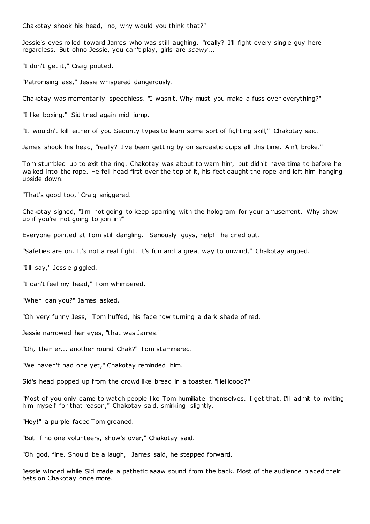Chakotay shook his head, "no, why would you think that?"

Jessie's eyes rolled toward James who was still laughing, "really? I'll fight every single guy here regardless. But ohno Jessie, you can't play, girls are *scawy*..."

"I don't get it," Craig pouted.

"Patronising ass," Jessie whispered dangerously.

Chakotay was momentarily speechless. "I wasn't. Why must you make a fuss over everything?"

"I like boxing," Sid tried again mid jump.

"It wouldn't kill either of you Security types to learn some sort of fighting skill," Chakotay said.

James shook his head, "really? I've been getting by on sarcastic quips all this time. Ain't broke."

Tom stumbled up to exit the ring. Chakotay was about to warn him, but didn't have time to before he walked into the rope. He fell head first over the top of it, his feet caught the rope and left him hanging upside down.

"That's good too," Craig sniggered.

Chakotay sighed, "I'm not going to keep sparring with the hologram for your amusement. Why show up if you're not going to join in?"

Everyone pointed at Tom still dangling. "Seriously guys, help!" he cried out.

"Safeties are on. It's not a real fight. It's fun and a great way to unwind," Chakotay argued.

"I'll say," Jessie giggled.

"I can't feel my head," Tom whimpered.

"When can you?" James asked.

"Oh very funny Jess," Tom huffed, his face now turning a dark shade of red.

Jessie narrowed her eyes, "that was James."

"Oh, then er... another round Chak?" Tom stammered.

"We haven't had one yet," Chakotay reminded him.

Sid's head popped up from the crowd like bread in a toaster. "Hellloooo?"

"Most of you only came to watch people like Tom humiliate themselves. I get that. I'll admit to inviting him myself for that reason," Chakotay said, smirking slightly.

"Hey!" a purple faced Tom groaned.

"But if no one volunteers, show's over," Chakotay said.

"Oh god, fine. Should be a laugh," James said, he stepped forward.

Jessie winced while Sid made a pathetic aaaw sound from the back. Most of the audience placed their bets on Chakotay once more.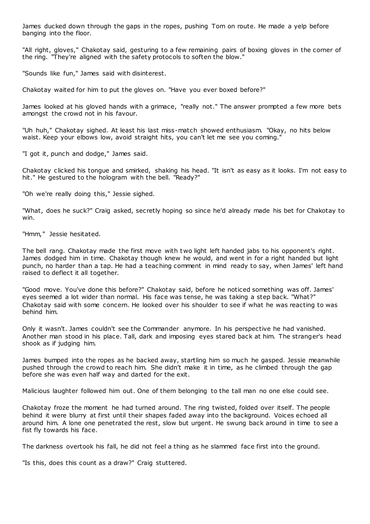James ducked down through the gaps in the ropes, pushing Tom on route. He made a yelp before banging into the floor.

"All right, gloves," Chakotay said, gesturing to a few remaining pairs of boxing gloves in the corner of the ring. "They're aligned with the safety protocols to soften the blow."

"Sounds like fun," James said with disinterest.

Chakotay waited for him to put the gloves on. "Have you ever boxed before?"

James looked at his gloved hands with a grimace, "really not." The answer prompted a few more bets amongst the crowd not in his favour.

"Uh huh," Chakotay sighed. At least his last miss-match showed enthusiasm. "Okay, no hits below waist. Keep your elbows low, avoid straight hits, you can't let me see you coming."

"I got it, punch and dodge," James said.

Chakotay clicked his tongue and smirked, shaking his head. "It isn't as easy as it looks. I'm not easy to hit." He gestured to the hologram with the bell. "Ready?"

"Oh we're really doing this," Jessie sighed.

"What, does he suck?" Craig asked, secretly hoping so since he'd already made his bet for Chakotay to win.

"Hmm," Jessie hesitated.

The bell rang. Chakotay made the first move with two light left handed jabs to his opponent's right. James dodged him in time. Chakotay though knew he would, and went in for a right handed but light punch, no harder than a tap. He had a teaching comment in mind ready to say, when James' left hand raised to deflect it all together.

"Good move. You've done this before?" Chakotay said, before he noticed something was off. James' eyes seemed a lot wider than normal. His face was tense, he was taking a step back. "What?" Chakotay said with some concern. He looked over his shoulder to see if what he was reacting to was behind him.

Only it wasn't. James couldn't see the Commander anymore. In his perspective he had vanished. Another man stood in his place. Tall, dark and imposing eyes stared back at him. The stranger's head shook as if judging him.

James bumped into the ropes as he backed away, startling him so much he gasped. Jessie meanwhile pushed through the crowd to reach him. She didn't make it in time, as he climbed through the gap before she was even half way and darted for the exit.

Malicious laughter followed him out. One of them belonging to the tall man no one else could see.

Chakotay froze the moment he had turned around. The ring twisted, folded over itself. The people behind it were blurry at first until their shapes faded away into the background. Voices echoed all around him. A lone one penetrated the rest, slow but urgent. He swung back around in time to see a fist fly towards his face.

The darkness overtook his fall, he did not feel a thing as he slammed face first into the ground.

"Is this, does this count as a draw?" Craig stuttered.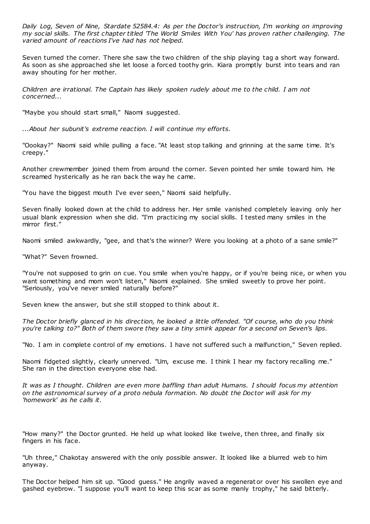*Daily Log, Seven of Nine, Stardate 52584.4: As per the Doctor's instruction, I'm working on improving my social skills. The first chapter titled 'The World Smiles With You' has proven rather challenging. The varied amount of reactions I've had has not helped.*

Seven turned the corner. There she saw the two children of the ship playing tag a short way forward. As soon as she approached she let loose a forced toothy grin. Kiara promptly burst into tears and ran away shouting for her mother.

*Children are irrational. The Captain has likely spoken rudely about me to the child. I am not concerned...*

"Maybe you should start small," Naomi suggested.

*...About her subunit's extreme reaction. I will continue my efforts.*

"Oookay?" Naomi said while pulling a face. "At least stop talking and grinning at the same time. It's creepy."

Another crewmember joined them from around the corner. Seven pointed her smile toward him. He screamed hysterically as he ran back the way he came.

"You have the biggest mouth I've ever seen," Naomi said helpfully.

Seven finally looked down at the child to address her. Her smile vanished completely leaving only her usual blank expression when she did. "I'm practicing my social skills. I tested many smiles in the mirror first."

Naomi smiled awkwardly, "gee, and that's the winner? Were you looking at a photo of a sane smile?"

"What?" Seven frowned.

"You're not supposed to grin on cue. You smile when you're happy, or if you're being nice, or when you want something and mom won't listen," Naomi explained. She smiled sweetly to prove her point. "Seriously, you've never smiled naturally before?"

Seven knew the answer, but she still stopped to think about it.

*The Doctor briefly glanced in his direction, he looked a little offended. "Of course, who do you think you're talking to?" Both of them swore they saw a tiny smirk appear for a second on Seven's lips.*

"No. I am in complete control of my emotions. I have not suffered such a malfunction," Seven replied.

Naomi fidgeted slightly, clearly unnerved. "Um, excuse me. I think I hear my factory recalling me." She ran in the direction everyone else had.

*It was as I thought. Children are even more baffling than adult Humans. I should focus my attention on the astronomical survey of a proto nebula formation. No doubt the Doctor will ask for my 'homework' as he calls it.*

"How many?" the Doctor grunted. He held up what looked like twelve, then three, and finally six fingers in his face.

"Uh three," Chakotay answered with the only possible answer. It looked like a blurred web to him anyway.

The Doctor helped him sit up. "Good guess." He angrily waved a regenerat or over his swollen eye and gashed eyebrow. "I suppose you'll want to keep this scar as some manly trophy," he said bitterly.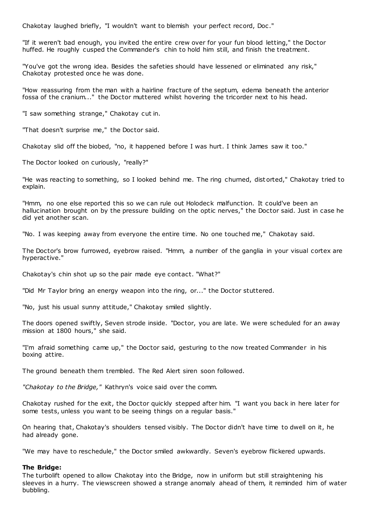Chakotay laughed briefly, "I wouldn't want to blemish your perfect record, Doc ."

"If it weren't bad enough, you invited the entire crew over for your fun blood letting," the Doctor huffed. He roughly cusped the Commander's chin to hold him still, and finish the treatment.

"You've got the wrong idea. Besides the safeties should have lessened or eliminated any risk," Chakotay protested once he was done.

"How reassuring from the man with a hairline fracture of the septum, edema beneath the anterior fossa of the cranium..." the Doctor muttered whilst hovering the tricorder next to his head.

"I saw something strange," Chakotay cut in.

"That doesn't surprise me," the Doctor said.

Chakotay slid off the biobed, "no, it happened before I was hurt. I think James saw it too."

The Doctor looked on curiously, "really?"

"He was reacting to something, so I looked behind me. The ring churned, dist orted," Chakotay tried to explain.

"Hmm, no one else reported this so we can rule out Holodeck malfunction. It could've been an hallucination brought on by the pressure building on the optic nerves," the Doctor said. Just in case he did yet another scan.

"No. I was keeping away from everyone the entire time. No one touched me," Chakotay said.

The Doctor's brow furrowed, eyebrow raised. "Hmm, a number of the ganglia in your visual cortex are hyperactive."

Chakotay's chin shot up so the pair made eye contact. "What?"

"Did Mr Taylor bring an energy weapon into the ring, or..." the Doctor stuttered.

"No, just his usual sunny attitude," Chakotay smiled slightly.

The doors opened swiftly, Seven strode inside. "Doctor, you are late. We were scheduled for an away mission at 1800 hours," she said.

"I'm afraid something came up," the Doctor said, gesturing to the now treated Commander in his boxing attire.

The ground beneath them trembled. The Red Alert siren soon followed.

*"Chakotay to the Bridge,"* Kathryn's voice said over the comm.

Chakotay rushed for the exit, the Doctor quickly stepped after him. "I want you back in here later for some tests, unless you want to be seeing things on a regular basis."

On hearing that, Chakotay's shoulders tensed visibly. The Doctor didn't have time to dwell on it, he had already gone.

"We may have to reschedule," the Doctor smiled awkwardly. Seven's eyebrow flickered upwards.

#### **The Bridge:**

The turbolift opened to allow Chakotay into the Bridge, now in uniform but still straightening his sleeves in a hurry. The viewscreen showed a strange anomaly ahead of them, it reminded him of water bubbling.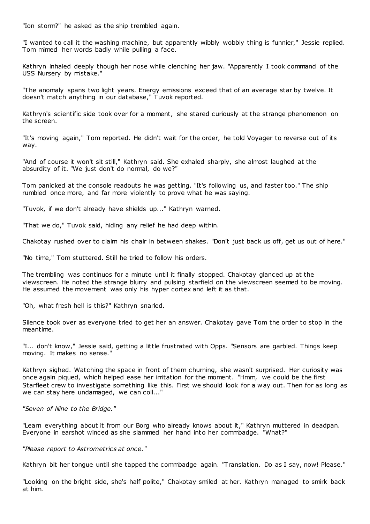"Ion storm?" he asked as the ship trembled again.

"I wanted to call it the washing machine, but apparently wibbly wobbly thing is funnier," Jessie replied. Tom mimed her words badly while pulling a face.

Kathryn inhaled deeply though her nose while clenching her jaw. "Apparently I took command of the USS Nursery by mistake."

"The anomaly spans two light years. Energy emissions exceed that of an average star by twelve. It doesn't match anything in our database," Tuvok reported.

Kathryn's scientific side took over for a moment, she stared curiously at the strange phenomenon on the screen.

"It's moving again," Tom reported. He didn't wait for the order, he told Voyager to reverse out of its way.

"And of course it won't sit still," Kathryn said. She exhaled sharply, she almost laughed at the absurdity of it. "We just don't do normal, do we?"

Tom panicked at the console readouts he was getting. "It's following us, and faster too." The ship rumbled once more, and far more violently to prove what he was saying.

"Tuvok, if we don't already have shields up..." Kathryn warned.

"That we do," Tuvok said, hiding any relief he had deep within.

Chakotay rushed over to claim his chair in between shakes. "Don't just back us off, get us out of here."

"No time," Tom stuttered. Still he tried to follow his orders.

The trembling was continuos for a minute until it finally stopped. Chakotay glanced up at the viewscreen. He noted the strange blurry and pulsing starfield on the viewscreen seemed to be moving. He assumed the movement was only his hyper cortex and left it as that.

"Oh, what fresh hell is this?" Kathryn snarled.

Silence took over as everyone tried to get her an answer. Chakotay gave Tom the order to stop in the meantime.

"I... don't know," Jessie said, getting a little frustrated with Opps. "Sensors are garbled. Things keep moving. It makes no sense."

Kathryn sighed. Watching the space in front of them churning, she wasn't surprised. Her curiosity was once again piqued, which helped ease her irritation for the moment. "Hmm, we could be the first Starfleet crew to investigate something like this. First we should look for a way out. Then for as long as we can stay here undamaged, we can coll..."

*"Seven of Nine to the Bridge."*

"Learn everything about it from our Borg who already knows about it," Kathryn muttered in deadpan. Everyone in earshot winced as she slammed her hand into her commbadge. "What?"

*"Please report to Astrometrics at once."*

Kathryn bit her tongue until she tapped the commbadge again. "Translation. Do as I say, now! Please."

"Looking on the bright side, she's half polite," Chakotay smiled at her. Kathryn managed to smirk back at him.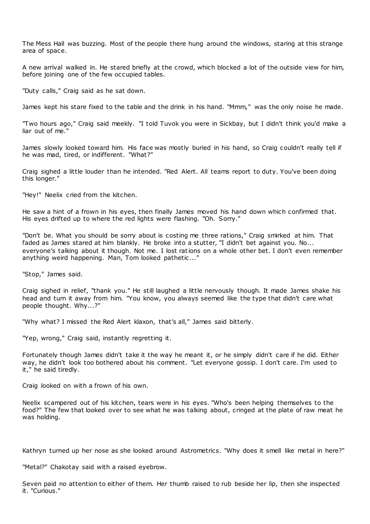The Mess Hall was buzzing. Most of the people there hung around the windows, staring at this strange area of space.

A new arrival walked in. He stared briefly at the crowd, which blocked a lot of the outside view for him, before joining one of the few occupied tables.

"Duty calls," Craig said as he sat down.

James kept his stare fixed to the table and the drink in his hand. "Mmm," was the only noise he made.

"Two hours ago," Craig said meekly. "I told Tuvok you were in Sickbay, but I didn't think you'd make a liar out of me."

James slowly looked toward him. His face was mostly buried in his hand, so Craig couldn't really tell if he was mad, tired, or indifferent. "What?"

Craig sighed a little louder than he intended. "Red Alert. All teams report to duty. You've been doing this longer."

"Hey!" Neelix cried from the kitchen.

He saw a hint of a frown in his eyes, then finally James moved his hand down which confirmed that. His eyes drifted up to where the red lights were flashing. "Oh. Sorry."

"Don't be. What you should be sorry about is costing me three rations," Craig smirked at him. That faded as James stared at him blankly. He broke into a stutter, "I didn't bet against you. No... everyone's talking about it though. Not me. I lost rations on a whole other bet. I don't even remember anything weird happening. Man, Tom looked pathetic ..."

"Stop," James said.

Craig sighed in relief, "thank you." He still laughed a little nervously though. It made James shake his head and turn it away from him. "You know, you always seemed like the type that didn't care what people thought. Why...?"

"Why what? I missed the Red Alert klaxon, that's all," James said bitterly.

"Yep, wrong," Craig said, instantly regretting it.

Fortunately though James didn't take it the way he meant it, or he simply didn't care if he did. Either way, he didn't look too bothered about his comment. "Let everyone gossip. I don't care. I'm used to it," he said tiredly.

Craig looked on with a frown of his own.

Neelix scampered out of his kitchen, tears were in his eyes. "Who's been helping themselves to the food?" The few that looked over to see what he was talking about, cringed at the plate of raw meat he was holding.

Kathryn turned up her nose as she looked around Astrometrics. "Why does it smell like metal in here?"

"Metal?" Chakotay said with a raised eyebrow.

Seven paid no attention to either of them. Her thumb raised to rub beside her lip, then she inspected it. "Curious."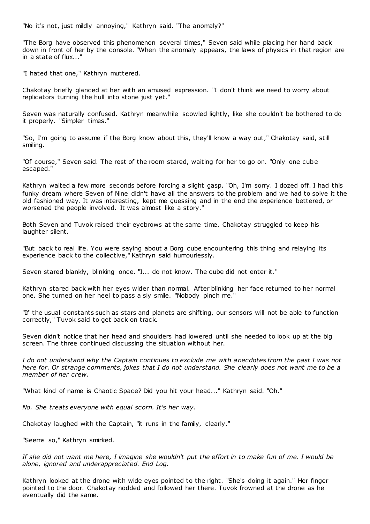"No it's not, just mildly annoying," Kathryn said. "The anomaly?"

"The Borg have observed this phenomenon several times," Seven said while placing her hand back down in front of her by the console. "When the anomaly appears, the laws of physics in that region are in a state of flux..."

"I hated that one," Kathryn muttered.

Chakotay briefly glanced at her with an amused expression. "I don't think we need to worry about replicators turning the hull into stone just yet."

Seven was naturally confused. Kathryn meanwhile scowled lightly, like she couldn't be bothered to do it properly. "Simpler times."

"So, I'm going to assume if the Borg know about this, they'll know a way out," Chakotay said, still smiling.

"Of course," Seven said. The rest of the room stared, waiting for her to go on. "Only one cube escaped."

Kathryn waited a few more seconds before forcing a slight gasp. "Oh, I'm sorry. I dozed off. I had this funky dream where Seven of Nine didn't have all the answers to the problem and we had to solve it the old fashioned way. It was interesting, kept me guessing and in the end the experience bettered, or worsened the people involved. It was almost like a story."

Both Seven and Tuvok raised their eyebrows at the same time. Chakotay struggled to keep his laughter silent.

"But back to real life. You were saying about a Borg cube encountering this thing and relaying its experience back to the collective," Kathryn said humourlessly.

Seven stared blankly, blinking once. "I... do not know. The cube did not enter it."

Kathryn stared back with her eyes wider than normal. After blinking her face returned to her normal one. She turned on her heel to pass a sly smile. "Nobody pinch me."

"If the usual constants such as stars and planets are shifting, our sensors will not be able to function correctly," Tuvok said to get back on track.

Seven didn't notice that her head and shoulders had lowered until she needed to look up at the big screen. The three continued discussing the situation without her.

*I do not understand why the Captain continues to exclude me with anecdotes from the past I was not here for. Or strange comments, jokes that I do not understand. She clearly does not want me to be a member of her crew.*

"What kind of name is Chaotic Space? Did you hit your head..." Kathryn said. "Oh."

*No. She treats everyone with equal scorn. It's her way.*

Chakotay laughed with the Captain, "it runs in the family, clearly."

"Seems so," Kathryn smirked.

*If she did not want me here, I imagine she wouldn't put the effort in to make fun of me. I would be alone, ignored and underappreciated. End Log.*

Kathryn looked at the drone with wide eyes pointed to the right. "She's doing it again." Her finger pointed to the door. Chakotay nodded and followed her there. Tuvok frowned at the drone as he eventually did the same.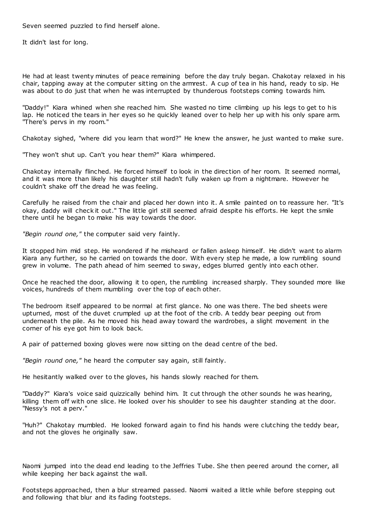Seven seemed puzzled to find herself alone.

It didn't last for long.

He had at least twenty minutes of peace remaining before the day truly began. Chakotay relaxed in his chair, tapping away at the computer sitting on the armrest. A cup of tea in his hand, ready to sip. He was about to do just that when he was interrupted by thunderous footsteps coming towards him.

"Daddy!" Kiara whined when she reached him. She wasted no time climbing up his legs to get to his lap. He noticed the tears in her eyes so he quickly leaned over to help her up with his only spare arm. "There's pervs in my room."

Chakotay sighed, "where did you learn that word?" He knew the answer, he just wanted to make sure.

"They won't shut up. Can't you hear them?" Kiara whimpered.

Chakotay internally flinched. He forced himself to look in the direction of her room. It seemed normal, and it was more than likely his daughter still hadn't fully waken up from a nightmare. However he couldn't shake off the dread he was feeling.

Carefully he raised from the chair and placed her down into it. A smile painted on to reassure her. "It's okay, daddy will check it out." The little girl still seemed afraid despite his efforts. He kept the smile there until he began to make his way towards the door.

*"Begin round one,"* the computer said very faintly.

It stopped him mid step. He wondered if he misheard or fallen asleep himself. He didn't want to alarm Kiara any further, so he carried on towards the door. With every step he made, a low rumbling sound grew in volume. The path ahead of him seemed to sway, edges blurred gently into each other.

Once he reached the door, allowing it to open, the rumbling increased sharply. They sounded more like voices, hundreds of them mumbling over the top of each other.

The bedroom itself appeared to be normal at first glance. No one was there. The bed sheets were upturned, most of the duvet crumpled up at the foot of the crib. A teddy bear peeping out from underneath the pile. As he moved his head away toward the wardrobes, a slight movement in the corner of his eye got him to look back.

A pair of patterned boxing gloves were now sitting on the dead centre of the bed.

*"Begin round one,"* he heard the computer say again, still faintly.

He hesitantly walked over to the gloves, his hands slowly reached for them.

"Daddy?" Kiara's voice said quizzically behind him. It cut through the other sounds he was hearing, killing them off with one slice. He looked over his shoulder to see his daughter standing at the door. "Nessy's not a perv."

"Huh?" Chakotay mumbled. He looked forward again to find his hands were clutching the teddy bear, and not the gloves he originally saw.

Naomi jumped into the dead end leading to the Jeffries Tube. She then peered around the corner, all while keeping her back against the wall.

Footsteps approached, then a blur streamed passed. Naomi waited a little while before stepping out and following that blur and its fading footsteps.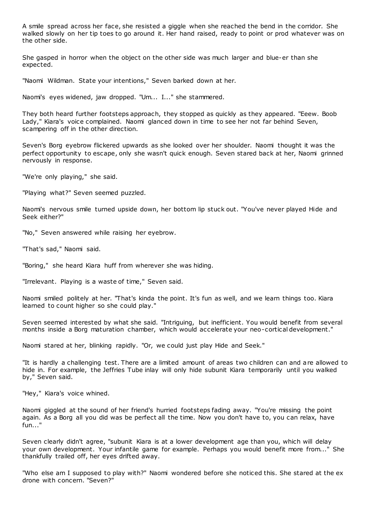A smile spread across her face, she resisted a giggle when she reached the bend in the corridor. She walked slowly on her tip toes to go around it. Her hand raised, ready to point or prod whatever was on the other side.

She gasped in horror when the object on the other side was much larger and blue-er than she expected.

"Naomi Wildman. State your intentions," Seven barked down at her.

Naomi's eyes widened, jaw dropped. "Um... I..." she stammered.

They both heard further footsteps approach, they stopped as quickly as they appeared. "Eeew. Boob Lady," Kiara's voice complained. Naomi glanced down in time to see her not far behind Seven, scampering off in the other direction.

Seven's Borg eyebrow flickered upwards as she looked over her shoulder. Naomi thought it was the perfect opportunity to escape, only she wasn't quick enough. Seven stared back at her, Naomi grinned nervously in response.

"We're only playing," she said.

"Playing what?" Seven seemed puzzled.

Naomi's nervous smile turned upside down, her bottom lip stuck out. "You've never played Hide and Seek either?"

"No," Seven answered while raising her eyebrow.

"That's sad," Naomi said.

"Boring," she heard Kiara huff from wherever she was hiding.

"Irrelevant. Playing is a waste of time," Seven said.

Naomi smiled politely at her. "That's kinda the point. It's fun as well, and we learn things too. Kiara learned to count higher so she could play."

Seven seemed interested by what she said. "Intriguing, but inefficient. You would benefit from several months inside a Borg maturation chamber, which would accelerate your neo-cortical development."

Naomi stared at her, blinking rapidly. "Or, we could just play Hide and Seek."

"It is hardly a challenging test. There are a limited amount of areas two children can and are allowed to hide in. For example, the Jeffries Tube inlay will only hide subunit Kiara temporarily until you walked by," Seven said.

"Hey," Kiara's voice whined.

Naomi giggled at the sound of her friend's hurried footsteps fading away. "You're missing the point again. As a Borg all you did was be perfect all the time. Now you don't have to, you can relax, have fun..."

Seven clearly didn't agree, "subunit Kiara is at a lower development age than you, which will delay your own development. Your infantile game for example. Perhaps you would benefit more from..." She thankfully trailed off, her eyes drifted away.

"Who else am I supposed to play with?" Naomi wondered before she noticed this. She stared at the ex drone with concern. "Seven?"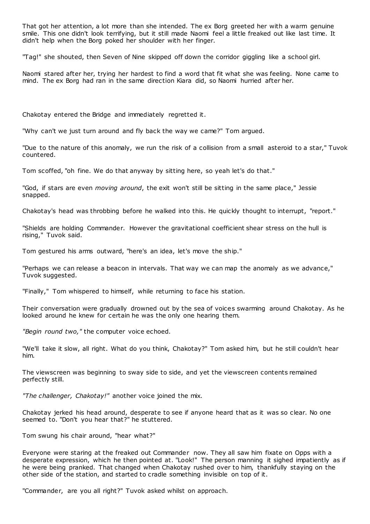That got her attention, a lot more than she intended. The ex Borg greeted her with a warm genuine smile. This one didn't look terrifying, but it still made Naomi feel a little freaked out like last time. It didn't help when the Borg poked her shoulder with her finger.

"Tag!" she shouted, then Seven of Nine skipped off down the corridor giggling like a school girl.

Naomi stared after her, trying her hardest to find a word that fit what she was feeling. None came to mind. The ex Borg had ran in the same direction Kiara did, so Naomi hurried after her.

Chakotay entered the Bridge and immediately regretted it.

"Why can't we just turn around and fly back the way we came?" Tom argued.

"Due to the nature of this anomaly, we run the risk of a collision from a small asteroid to a star," Tuvok countered.

Tom scoffed, "oh fine. We do that anyway by sitting here, so yeah let's do that."

"God, if stars are even *moving around*, the exit won't still be sitting in the same place," Jessie snapped.

Chakotay's head was throbbing before he walked into this. He quickly thought to interrupt, "report."

"Shields are holding Commander. However the gravitational coefficient shear stress on the hull is rising," Tuvok said.

Tom gestured his arms outward, "here's an idea, let's move the ship."

"Perhaps we can release a beacon in intervals. That way we can map the anomaly as we advance," Tuvok suggested.

"Finally," Tom whispered to himself, while returning to face his station.

Their conversation were gradually drowned out by the sea of voices swarming around Chakotay. As he looked around he knew for certain he was the only one hearing them.

*"Begin round two,"* the computer voice echoed.

"We'll take it slow, all right. What do you think, Chakotay?" Tom asked him, but he still couldn't hear him.

The viewscreen was beginning to sway side to side, and yet the viewscreen contents remained perfectly still.

*"The challenger, Chakotay!"* another voice joined the mix.

Chakotay jerked his head around, desperate to see if anyone heard that as it was so clear. No one seemed to. "Don't you hear that?" he stuttered.

Tom swung his chair around, "hear what?"

Everyone were staring at the freaked out Commander now. They all saw him fixate on Opps with a desperate expression, which he then pointed at. "Look!" The person manning it sighed impatiently as if he were being pranked. That changed when Chakotay rushed over to him, thankfully staying on the other side of the station, and started to cradle something invisible on top of it.

"Commander, are you all right?" Tuvok asked whilst on approach.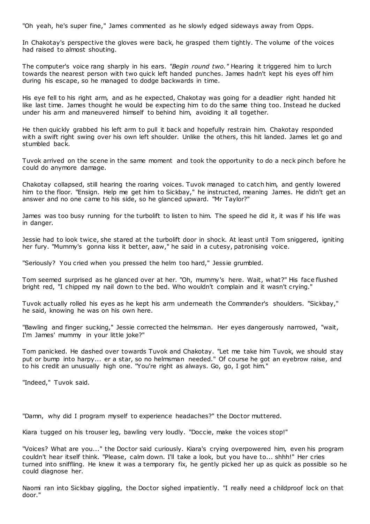"Oh yeah, he's super fine," James commented as he slowly edged sideways away from Opps.

In Chakotay's perspective the gloves were back, he grasped them tightly. The volume of the voices had raised to almost shouting.

The computer's voice rang sharply in his ears. *"Begin round two."* Hearing it triggered him to lurch towards the nearest person with two quick left handed punches. James hadn't kept his eyes off him during his escape, so he managed to dodge backwards in time.

His eye fell to his right arm, and as he expected, Chakotay was going for a deadlier right handed hit like last time. James thought he would be expecting him to do the same thing too. Instead he ducked under his arm and maneuvered himself to behind him, avoiding it all together.

He then quickly grabbed his left arm to pull it back and hopefully restrain him. Chakotay responded with a swift right swing over his own left shoulder. Unlike the others, this hit landed. James let go and stumbled back.

Tuvok arrived on the scene in the same moment and took the opportunity to do a neck pinch before he could do anymore damage.

Chakotay collapsed, still hearing the roaring voices. Tuvok managed to catch him, and gently lowered him to the floor. "Ensign. Help me get him to Sickbay," he instructed, meaning James. He didn't get an answer and no one came to his side, so he glanced upward. "Mr Taylor?"

James was too busy running for the turbolift to listen to him. The speed he did it, it was if his life was in danger.

Jessie had to look twice, she stared at the turbolift door in shock. At least until Tom sniggered, igniting her fury. "Mummy's gonna kiss it better, aaw," he said in a cutesy, patronising voice.

"Seriously? You cried when you pressed the helm too hard," Jessie grumbled.

Tom seemed surprised as he glanced over at her. "Oh, mummy's here. Wait, what?" His face flushed bright red, "I chipped my nail down to the bed. Who wouldn't complain and it wasn't crying."

Tuvok actually rolled his eyes as he kept his arm underneath the Commander's shoulders. "Sickbay," he said, knowing he was on his own here.

"Bawling and finger sucking," Jessie corrected the helmsman. Her eyes dangerously narrowed, "wait, I'm James' mummy in your little joke?"

Tom panicked. He dashed over towards Tuvok and Chakotay. "Let me take him Tuvok, we should stay put or bump into harpy... er a star, so no helmsman needed." Of course he got an eyebrow raise, and to his credit an unusually high one. "You're right as always. Go, go, I got him."

"Indeed," Tuvok said.

"Damn, why did I program myself to experience headaches?" the Doctor muttered.

Kiara tugged on his trouser leg, bawling very loudly. "Doccie, make the voices stop!"

"Voices? What are you..." the Doctor said curiously. Kiara's crying overpowered him, even his program couldn't hear itself think. "Please, calm down. I'll take a look, but you have to... shhh!" Her cries turned into sniffling. He knew it was a temporary fix, he gently picked her up as quick as possible so he could diagnose her.

Naomi ran into Sickbay giggling, the Doctor sighed impatiently. "I really need a childproof lock on that door."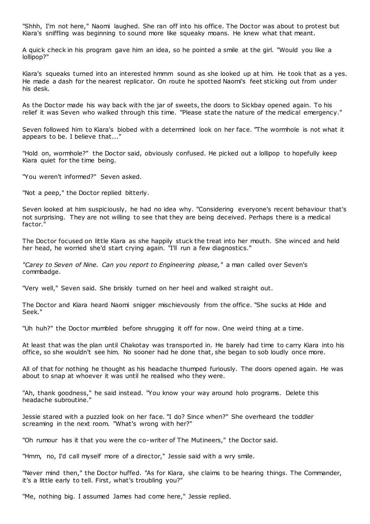"Shhh, I'm not here," Naomi laughed. She ran off into his office. The Doctor was about to protest but Kiara's sniffling was beginning to sound more like squeaky moans. He knew what that meant.

A quick check in his program gave him an idea, so he pointed a smile at the girl. "Would you like a lollipop?"

Kiara's squeaks turned into an interested hmmm sound as she looked up at him. He took that as a yes. He made a dash for the nearest replicator. On route he spotted Naomi's feet sticking out from under his desk.

As the Doctor made his way back with the jar of sweets, the doors to Sickbay opened again. To his relief it was Seven who walked through this time. "Please state the nature of the medical emergency."

Seven followed him to Kiara's biobed with a determined look on her face. "The wormhole is not what it appears to be. I believe that..."

"Hold on, wormhole?" the Doctor said, obviously confused. He picked out a lollipop to hopefully keep Kiara quiet for the time being.

"You weren't informed?" Seven asked.

"Not a peep," the Doctor replied bitterly.

Seven looked at him suspiciously, he had no idea why. "Considering everyone's recent behaviour that's not surprising. They are not willing to see that they are being deceived. Perhaps there is a medical factor."

The Doctor focused on little Kiara as she happily stuck the treat into her mouth. She winced and held her head, he worried she'd start crying again. "I'll run a few diagnostics."

*"Carey to Seven of Nine. Can you report to Engineering please,"* a man called over Seven's commbadge.

"Very well," Seven said. She briskly turned on her heel and walked st raight out.

The Doctor and Kiara heard Naomi snigger mischievously from the office. "She sucks at Hide and Seek."

"Uh huh?" the Doctor mumbled before shrugging it off for now. One weird thing at a time.

At least that was the plan until Chakotay was transported in. He barely had time to carry Kiara into his office, so she wouldn't see him. No sooner had he done that, she began to sob loudly once more.

All of that for nothing he thought as his headache thumped furiously. The doors opened again. He was about to snap at whoever it was until he realised who they were.

"Ah, thank goodness," he said instead. "You know your way around holo programs. Delete this headache subroutine."

Jessie stared with a puzzled look on her face. "I do? Since when?" She overheard the toddler screaming in the next room. "What's wrong with her?"

"Oh rumour has it that you were the co-writer of The Mutineers," the Doctor said.

"Hmm, no, I'd call myself more of a director," Jessie said with a wry smile.

"Never mind then," the Doctor huffed. "As for Kiara, she claims to be hearing things. The Commander, it's a little early to tell. First, what's troubling you?"

"Me, nothing big. I assumed James had come here," Jessie replied.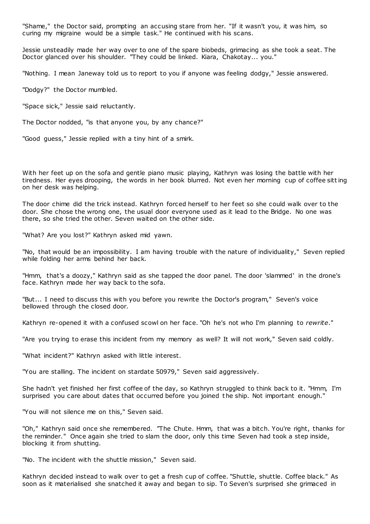"Shame," the Doctor said, prompting an accusing stare from her. "If it wasn't you, it was him, so curing my migraine would be a simple task." He continued with his scans.

Jessie unsteadily made her way over to one of the spare biobeds, grimacing as she took a seat. The Doctor glanced over his shoulder. "They could be linked. Kiara, Chakotay... you."

"Nothing. I mean Janeway told us to report to you if anyone was feeling dodgy," Jessie answered.

"Dodgy?" the Doctor mumbled.

"Space sick," Jessie said reluctantly.

The Doctor nodded, "is that anyone you, by any chance?"

"Good guess," Jessie replied with a tiny hint of a smirk.

With her feet up on the sofa and gentle piano music playing, Kathryn was losing the battle with her tiredness. Her eyes drooping, the words in her book blurred. Not even her morning cup of coffee sitting on her desk was helping.

The door chime did the trick instead. Kathryn forced herself to her feet so she could walk over to the door. She chose the wrong one, the usual door everyone used as it lead to the Bridge. No one was there, so she tried the other. Seven waited on the other side.

"What? Are you lost?" Kathryn asked mid yawn.

"No, that would be an impossibility. I am having trouble with the nature of individuality," Seven replied while folding her arms behind her back.

"Hmm, that's a doozy," Kathryn said as she tapped the door panel. The door 'slammed' in the drone's face. Kathryn made her way back to the sofa.

"But... I need to discuss this with you before you rewrite the Doctor's program," Seven's voice bellowed through the closed door.

Kathryn re-opened it with a confused scowl on her face. "Oh he's not who I'm planning to *rewrite*."

"Are you trying to erase this incident from my memory as well? It will not work," Seven said coldly.

"What incident?" Kathryn asked with little interest.

"You are stalling. The incident on stardate 50979," Seven said aggressively.

She hadn't yet finished her first coffee of the day, so Kathryn struggled to think back to it. "Hmm, I'm surprised you care about dates that occurred before you joined the ship. Not important enough."

"You will not silence me on this," Seven said.

"Oh," Kathryn said once she remembered. "The Chute. Hmm, that was a bitch. You're right, thanks for the reminder." Once again she tried to slam the door, only this time Seven had took a step inside, blocking it from shutting.

"No. The incident with the shuttle mission," Seven said.

Kathryn decided instead to walk over to get a fresh cup of coffee. "Shuttle, shuttle. Coffee black." As soon as it materialised she snatched it away and began to sip. To Seven's surprised she grimaced in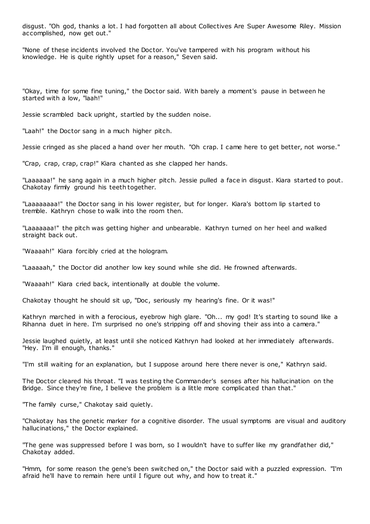disgust. "Oh god, thanks a lot. I had forgotten all about Collectives Are Super Awesome Riley. Mission accomplished, now get out."

"None of these incidents involved the Doctor. You've tampered with his program without his knowledge. He is quite rightly upset for a reason," Seven said.

"Okay, time for some fine tuning," the Doctor said. With barely a moment's pause in between he started with a low, "laah!"

Jessie scrambled back upright, startled by the sudden noise.

"Laah!" the Doctor sang in a much higher pitch.

Jessie cringed as she placed a hand over her mouth. "Oh crap. I came here to get better, not worse."

"Crap, crap, crap, crap!" Kiara chanted as she clapped her hands.

"Laaaaaa!" he sang again in a much higher pitch. Jessie pulled a face in disgust. Kiara started to pout. Chakotay firmly ground his teeth together.

"Laaaaaaaa!" the Doctor sang in his lower register, but for longer. Kiara's bottom lip started to tremble. Kathryn chose to walk into the room then.

"Laaaaaaa!" the pitch was getting higher and unbearable. Kathryn turned on her heel and walked straight back out.

"Waaaah!" Kiara forcibly cried at the hologram.

"Laaaaah," the Doctor did another low key sound while she did. He frowned afterwards.

"Waaaah!" Kiara cried back, intentionally at double the volume.

Chakotay thought he should sit up, "Doc, seriously my hearing's fine. Or it was!"

Kathryn marched in with a ferocious, eyebrow high glare. "Oh... my god! It's starting to sound like a Rihanna duet in here. I'm surprised no one's stripping off and shoving their ass into a camera."

Jessie laughed quietly, at least until she noticed Kathryn had looked at her immediately afterwards. "Hey. I'm ill enough, thanks."

"I'm still waiting for an explanation, but I suppose around here there never is one," Kathryn said.

The Doctor cleared his throat. "I was testing the Commander's senses after his hallucination on the Bridge. Since they're fine, I believe the problem is a little more complicated than that."

"The family curse," Chakotay said quietly.

"Chakotay has the genetic marker for a cognitive disorder. The usual symptoms are visual and auditory hallucinations," the Doctor explained.

"The gene was suppressed before I was born, so I wouldn't have to suffer like my grandfather did," Chakotay added.

"Hmm, for some reason the gene's been switched on," the Doctor said with a puzzled expression. "I'm afraid he'll have to remain here until I figure out why, and how to treat it."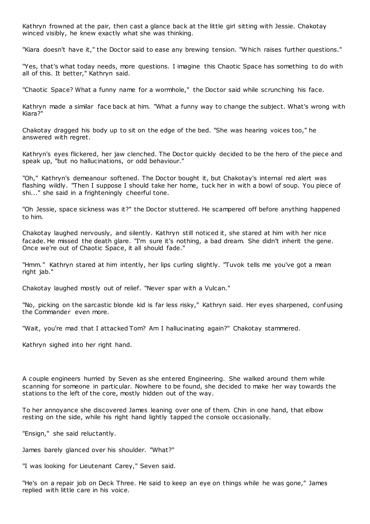Kathryn frowned at the pair, then cast a glance back at the little girl sitting with Jessie. Chakotay winced visibly, he knew exactly what she was thinking.

"Kiara doesn't have it," the Doctor said to ease any brewing tension. "Which raises further questions."

"Yes, that's what today needs, more questions. I imagine this Chaotic Space has something to do with all of this. It better," Kathryn said.

"Chaotic Space? What a funny name for a wormhole," the Doctor said while scrunching his face.

Kathryn made a similar face back at him. "What a funny way to change the subject. What's wrong with Kiara?"

Chakotay dragged his body up to sit on the edge of the bed. "She was hearing voices too," he answered with regret.

Kathryn's eyes flickered, her jaw clenched. The Doctor quickly decided to be the hero of the piece and speak up, "but no hallucinations, or odd behaviour."

"Oh," Kathryn's demeanour softened. The Doctor bought it, but Chakotay's internal red alert was flashing wildly. "Then I suppose I should take her home, tuck her in with a bowl of soup. You piece of shi..." she said in a frighteningly cheerful tone.

"Oh Jessie, space sickness was it?" the Doctor stuttered. He scampered off before anything happened to him.

Chakotay laughed nervously, and silently. Kathryn still noticed it, she stared at him with her nice facade. He missed the death glare. "I'm sure it's nothing, a bad dream. She didn't inherit the gene. Once we're out of Chaotic Space, it all should fade."

"Hmm." Kathryn stared at him intently, her lips curling slightly. "Tuvok tells me you've got a mean right jab."

Chakotay laughed mostly out of relief. "Never spar with a Vulcan."

"No, picking on the sarcastic blonde kid is far less risky," Kathryn said. Her eyes sharpened, conf using the Commander even more.

"Wait, you're mad that I attacked Tom? Am I hallucinating again?" Chakotay stammered.

Kathryn sighed into her right hand.

A couple engineers hurried by Seven as she entered Engineering. She walked around them while scanning for someone in particular. Nowhere to be found, she decided to make her way towards the stations to the left of the core, mostly hidden out of the way.

To her annoyance she discovered James leaning over one of them. Chin in one hand, that elbow resting on the side, while his right hand lightly tapped the console occasionally.

"Ensign," she said reluctantly.

James barely glanced over his shoulder. "What?"

"I was looking for Lieutenant Carey," Seven said.

"He's on a repair job on Deck Three. He said to keep an eye on things while he was gone," James replied with little care in his voice.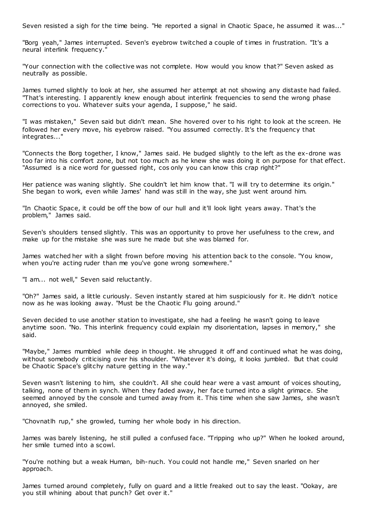Seven resisted a sigh for the time being. "He reported a signal in Chaotic Space, he assumed it was..."

"Borg yeah," James interrupted. Seven's eyebrow twitched a couple of times in frustration. "It's a neural interlink frequency."

"Your connection with the collective was not complete. How would you know that?" Seven asked as neutrally as possible.

James turned slightly to look at her, she assumed her attempt at not showing any distaste had failed. "That's interesting. I apparently knew enough about interlink frequencies to send the wrong phase corrections to you. Whatever suits your agenda, I suppose," he said.

"I was mistaken," Seven said but didn't mean. She hovered over to his right to look at the screen. He followed her every move, his eyebrow raised. "You assumed correctly. It's the frequency that integrates..."

"Connects the Borg together, I know," James said. He budged slightly to the left as the ex-drone was too far into his comfort zone, but not too much as he knew she was doing it on purpose for that effect. "Assumed is a nice word for guessed right, cos only you can know this crap right?"

Her patience was waning slightly. She couldn't let him know that. "I will try to determine its origin." She began to work, even while James' hand was still in the way, she just went around him.

"In Chaotic Space, it could be off the bow of our hull and it'll look light years away. That's the problem," James said.

Seven's shoulders tensed slightly. This was an opportunity to prove her usefulness to the crew, and make up for the mistake she was sure he made but she was blamed for.

James watched her with a slight frown before moving his attention back to the console. "You know, when you're acting ruder than me you've gone wrong somewhere."

"I am... not well," Seven said reluctantly.

"Oh?" James said, a little curiously. Seven instantly stared at him suspiciously for it. He didn't notice now as he was looking away. "Must be the Chaotic Flu going around."

Seven decided to use another station to investigate, she had a feeling he wasn't going to leave anytime soon. "No. This interlink frequency could explain my disorientation, lapses in memory," she said.

"Maybe," James mumbled while deep in thought. He shrugged it off and continued what he was doing, without somebody criticising over his shoulder. "Whatever it's doing, it looks jumbled. But that could be Chaotic Space's glitchy nature getting in the way."

Seven wasn't listening to him, she couldn't. All she could hear were a vast amount of voices shouting, talking, none of them in synch. When they faded away, her face turned into a slight grimace. She seemed annoyed by the console and turned away from it. This time when she saw James, she wasn't annoyed, she smiled.

"Chovnatlh rup," she growled, turning her whole body in his direction.

James was barely listening, he still pulled a confused face. "Tripping who up?" When he looked around, her smile turned into a scowl.

"You're nothing but a weak Human, bih-nuch. You could not handle me," Seven snarled on her approach.

James turned around completely, fully on guard and a little freaked out to say the least. "Ookay, are you still whining about that punch? Get over it."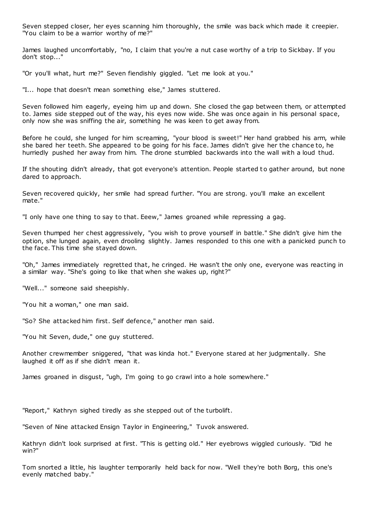Seven stepped closer, her eyes scanning him thoroughly, the smile was back which made it creepier. "You claim to be a warrior worthy of me?"

James laughed uncomfortably, "no, I claim that you're a nut case worthy of a trip to Sickbay. If you don't stop..."

"Or you'll what, hurt me?" Seven fiendishly giggled. "Let me look at you."

"I... hope that doesn't mean something else," James stuttered.

Seven followed him eagerly, eyeing him up and down. She closed the gap between them, or attempted to. James side stepped out of the way, his eyes now wide. She was once again in his personal space, only now she was sniffing the air, something he was keen to get away from.

Before he could, she lunged for him screaming, "your blood is sweet!" Her hand grabbed his arm, while she bared her teeth. She appeared to be going for his face. James didn't give her the chance to, he hurriedly pushed her away from him. The drone stumbled backwards into the wall with a loud thud.

If the shouting didn't already, that got everyone's attention. People started to gather around, but none dared to approach.

Seven recovered quickly, her smile had spread further. "You are strong. you'll make an excellent mate."

"I only have one thing to say to that. Eeew," James groaned while repressing a gag.

Seven thumped her chest aggressively, "you wish to prove yourself in battle." She didn't give him the option, she lunged again, even drooling slightly. James responded to this one with a panicked punch to the face. This time she stayed down.

"Oh," James immediately regretted that, he cringed. He wasn't the only one, everyone was reacting in a similar way. "She's going to like that when she wakes up, right?"

"Well..." someone said sheepishly.

"You hit a woman," one man said.

"So? She attacked him first. Self defence," another man said.

"You hit Seven, dude," one guy stuttered.

Another crewmember sniggered, "that was kinda hot." Everyone stared at her judgmentally. She laughed it off as if she didn't mean it.

James groaned in disgust, "ugh, I'm going to go crawl into a hole somewhere."

"Report," Kathryn sighed tiredly as she stepped out of the turbolift.

"Seven of Nine attacked Ensign Taylor in Engineering," Tuvok answered.

Kathryn didn't look surprised at first. "This is getting old." Her eyebrows wiggled curiously. "Did he win?"

Tom snorted a little, his laughter temporarily held back for now. "Well they're both Borg, this one's evenly matched baby."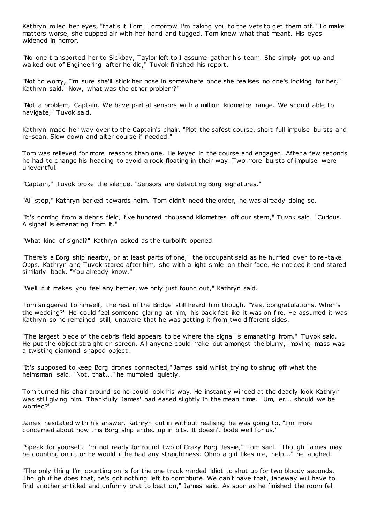Kathryn rolled her eyes, "that's it Tom. Tomorrow I'm taking you to the vets to get them off." To make matters worse, she cupped air with her hand and tugged. Tom knew what that meant. His eyes widened in horror.

"No one transported her to Sickbay, Taylor left to I assume gather his team. She simply got up and walked out of Engineering after he did," Tuvok finished his report.

"Not to worry, I'm sure she'll stick her nose in somewhere once she realises no one's looking for her," Kathryn said. "Now, what was the other problem?"

"Not a problem, Captain. We have partial sensors with a million kilometre range. We should able to navigate," Tuvok said.

Kathryn made her way over to the Captain's chair. "Plot the safest course, short full impulse bursts and re-scan. Slow down and alter course if needed."

Tom was relieved for more reasons than one. He keyed in the course and engaged. After a few seconds he had to change his heading to avoid a rock floating in their way. Two more bursts of impulse were uneventful.

"Captain," Tuvok broke the silence. "Sensors are detecting Borg signatures."

"All stop," Kathryn barked towards helm. Tom didn't need the order, he was already doing so.

"It's coming from a debris field, five hundred thousand kilometres off our stern," Tuvok said. "Curious. A signal is emanating from it."

"What kind of signal?" Kathryn asked as the turbolift opened.

"There's a Borg ship nearby, or at least parts of one," the occupant said as he hurried over to re-take Opps. Kathryn and Tuvok stared after him, she with a light smile on their face. He noticed it and stared similarly back. "You already know."

"Well if it makes you feel any better, we only just found out," Kathryn said.

Tom sniggered to himself, the rest of the Bridge still heard him though. "Yes, congratulations. When's the wedding?" He could feel someone glaring at him, his back felt like it was on fire. He assumed it was Kathryn so he remained still, unaware that he was getting it from two different sides.

"The largest piece of the debris field appears to be where the signal is emanating from," Tuvok said. He put the object straight on screen. All anyone could make out amongst the blurry, moving mass was a twisting diamond shaped object.

"It's supposed to keep Borg drones connected," James said whilst trying to shrug off what the helmsman said. "Not, that..." he mumbled quietly.

Tom turned his chair around so he could look his way. He instantly winced at the deadly look Kathryn was still giving him. Thankfully James' had eased slightly in the mean time. "Um, er... should we be worried?"

James hesitated with his answer. Kathryn cut in without realising he was going to, "I'm more concerned about how this Borg ship ended up in bits. It doesn't bode well for us."

"Speak for yourself. I'm not ready for round two of Crazy Borg Jessie," Tom said. "Though James may be counting on it, or he would if he had any straightness. Ohno a girl likes me, help..." he laughed.

"The only thing I'm counting on is for the one track minded idiot to shut up for two bloody seconds. Though if he does that, he's got nothing left to contribute. We can't have that, Janeway will have to find another entitled and unfunny prat to beat on," James said. As soon as he finished the room fell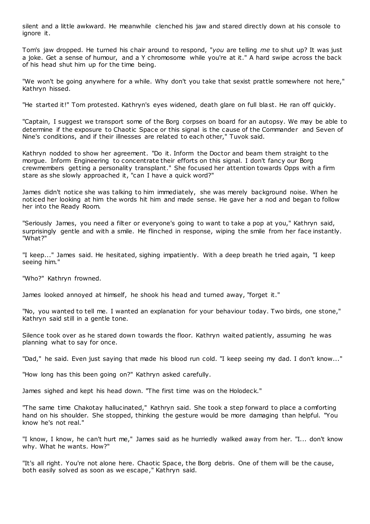silent and a little awkward. He meanwhile clenched his jaw and stared directly down at his console to ignore it.

Tom's jaw dropped. He turned his chair around to respond, "*you* are telling *me* to shut up? It was just a joke. Get a sense of humour, and a Y chromosome while you're at it." A hard swipe across the back of his head shut him up for the time being.

"We won't be going anywhere for a while. Why don't you take that sexist prattle somewhere not here," Kathryn hissed.

"He started it!" Tom protested. Kathryn's eyes widened, death glare on full blast. He ran off quickly.

"Captain, I suggest we transport some of the Borg corpses on board for an autopsy. We may be able to determine if the exposure to Chaotic Space or this signal is the cause of the Commander and Seven of Nine's conditions, and if their illnesses are related to each other," Tuvok said.

Kathryn nodded to show her agreement. "Do it. Inform the Doctor and beam them straight to the morgue. Inform Engineering to concentrate their efforts on this signal. I don't fancy our Borg crewmembers getting a personality transplant." She focused her attention towards Opps with a firm stare as she slowly approached it, "can I have a quick word?"

James didn't notice she was talking to him immediately, she was merely background noise. When he noticed her looking at him the words hit him and made sense. He gave her a nod and began to follow her into the Ready Room.

"Seriously James, you need a filter or everyone's going to want to take a pop at you," Kathryn said, surprisingly gentle and with a smile. He flinched in response, wiping the smile from her face instantly. "What?"

"I keep..." James said. He hesitated, sighing impatiently. With a deep breath he tried again, "I keep seeing him."

"Who?" Kathryn frowned.

James looked annoyed at himself, he shook his head and turned away, "forget it."

"No, you wanted to tell me. I wanted an explanation for your behaviour today. Two birds, one stone," Kathryn said still in a gentle tone.

Silence took over as he stared down towards the floor. Kathryn waited patiently, assuming he was planning what to say for once.

"Dad," he said. Even just saying that made his blood run cold. "I keep seeing my dad. I don't know..."

"How long has this been going on?" Kathryn asked carefully.

James sighed and kept his head down. "The first time was on the Holodeck."

"The same time Chakotay hallucinated," Kathryn said. She took a step forward to place a comforting hand on his shoulder. She stopped, thinking the gesture would be more damaging than helpful. "You know he's not real."

"I know, I know, he can't hurt me," James said as he hurriedly walked away from her. "I... don't know why. What he wants. How?"

"It's all right. You're not alone here. Chaotic Space, the Borg debris. One of them will be the cause, both easily solved as soon as we escape," Kathryn said.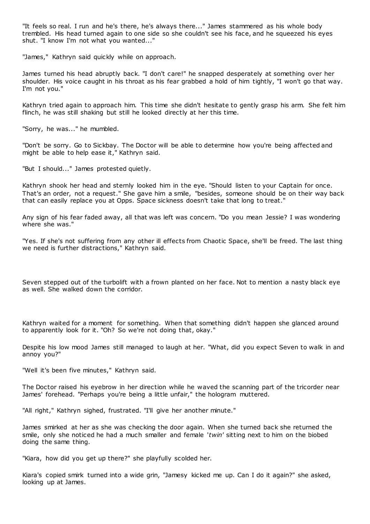"It feels so real. I run and he's there, he's always there..." James stammered as his whole body trembled. His head turned again to one side so she couldn't see his face, and he squeezed his eyes shut. "I know I'm not what you wanted..."

"James," Kathryn said quickly while on approach.

James turned his head abruptly back. "I don't care!" he snapped desperately at something over her shoulder. His voice caught in his throat as his fear grabbed a hold of him tightly, "I won't go that way. I'm not you."

Kathryn tried again to approach him. This time she didn't hesitate to gently grasp his arm. She felt him flinch, he was still shaking but still he looked directly at her this time.

"Sorry, he was..." he mumbled.

"Don't be sorry. Go to Sickbay. The Doctor will be able to determine how you're being affected and might be able to help ease it," Kathryn said.

"But I should..." James protested quietly.

Kathryn shook her head and sternly looked him in the eye. "Should listen to your Captain for once. That's an order, not a request." She gave him a smile, "besides, someone should be on their way back that can easily replace you at Opps. Space sickness doesn't take that long to treat."

Any sign of his fear faded away, all that was left was concern. "Do you mean Jessie? I was wondering where she was."

"Yes. If she's not suffering from any other ill effects from Chaotic Space, she'll be freed. The last thing we need is further distractions," Kathryn said.

Seven stepped out of the turbolift with a frown planted on her face. Not to mention a nasty black eye as well. She walked down the corridor.

Kathryn waited for a moment for something. When that something didn't happen she glanced around to apparently look for it. "Oh? So we're not doing that, okay."

Despite his low mood James still managed to laugh at her. "What, did you expect Seven to walk in and annoy you?"

"Well it's been five minutes," Kathryn said.

The Doctor raised his eyebrow in her direction while he waved the scanning part of the tricorder near James' forehead. "Perhaps you're being a little unfair," the hologram muttered.

"All right," Kathryn sighed, frustrated. "I'll give her another minute."

James smirked at her as she was checking the door again. When she turned back she returned the smile, only she noticed he had a much smaller and female '*twin'* sitting next to him on the biobed doing the same thing.

"Kiara, how did you get up there?" she playfully scolded her.

Kiara's copied smirk turned into a wide grin, "Jamesy kicked me up. Can I do it again?" she asked, looking up at James.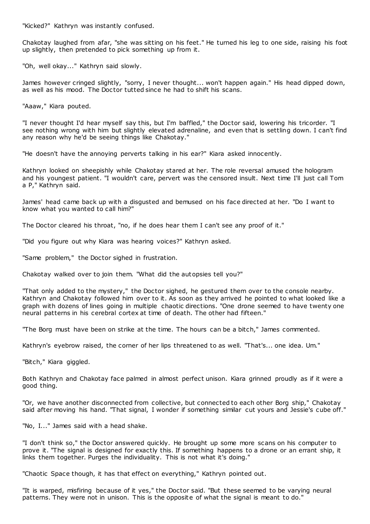"Kicked?" Kathryn was instantly confused.

Chakotay laughed from afar, "she was sitting on his feet." He turned his leg to one side, raising his foot up slightly, then pretended to pick something up from it.

"Oh, well okay..." Kathryn said slowly.

James however cringed slightly, "sorry, I never thought... won't happen again." His head dipped down, as well as his mood. The Doctor tutted since he had to shift his scans.

"Aaaw," Kiara pouted.

"I never thought I'd hear myself say this, but I'm baffled," the Doctor said, lowering his tricorder. "I see nothing wrong with him but slightly elevated adrenaline, and even that is settling down. I can't find any reason why he'd be seeing things like Chakotay."

"He doesn't have the annoying perverts talking in his ear?" Kiara asked innocently.

Kathryn looked on sheepishly while Chakotay stared at her. The role reversal amused the hologram and his youngest patient. "I wouldn't care, pervert was the censored insult. Next time I'll just call Tom a P," Kathryn said.

James' head came back up with a disgusted and bemused on his face directed at her. "Do I want to know what you wanted to call him?"

The Doctor cleared his throat, "no, if he does hear them I can't see any proof of it."

"Did you figure out why Kiara was hearing voices?" Kathryn asked.

"Same problem," the Doctor sighed in frustration.

Chakotay walked over to join them. "What did the autopsies tell you?"

"That only added to the mystery," the Doctor sighed, he gestured them over to the console nearby. Kathryn and Chakotay followed him over to it. As soon as they arrived he pointed to what looked like a graph with dozens of lines going in multiple chaotic directions. "One drone seemed to have twenty one neural patterns in his cerebral cortex at time of death. The other had fifteen."

"The Borg must have been on strike at the time. The hours can be a bitch," James commented.

Kathryn's eyebrow raised, the corner of her lips threatened to as well. "That's... one idea. Um."

"Bitch," Kiara giggled.

Both Kathryn and Chakotay face palmed in almost perfect unison. Kiara grinned proudly as if it were a good thing.

"Or, we have another disconnected from collective, but connected to each other Borg ship," Chakotay said after moving his hand. "That signal, I wonder if something similar cut yours and Jessie's cube off."

"No, I..." James said with a head shake.

"I don't think so," the Doctor answered quickly. He brought up some more scans on his computer to prove it. "The signal is designed for exactly this. If something happens to a drone or an errant ship, it links them together. Purges the individuality. This is not what it's doing."

"Chaotic Space though, it has that effect on everything," Kathryn pointed out.

"It is warped, misfiring because of it yes," the Doctor said. "But these seemed to be varying neural patterns. They were not in unison. This is the opposite of what the signal is meant to do."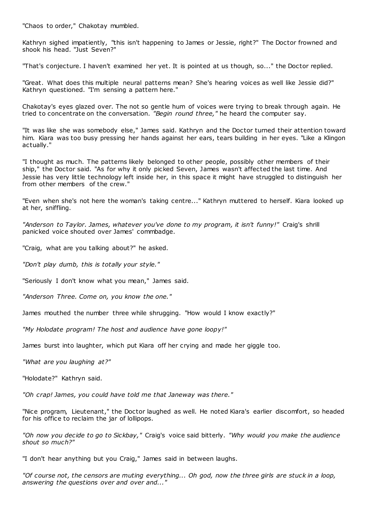"Chaos to order," Chakotay mumbled.

Kathryn sighed impatiently, "this isn't happening to James or Jessie, right?" The Doctor frowned and shook his head. "Just Seven?"

"That's conjecture. I haven't examined her yet. It is pointed at us though, so..." the Doctor replied.

"Great. What does this multiple neural patterns mean? She's hearing voices as well like Jessie did?" Kathryn questioned. "I'm sensing a pattern here."

Chakotay's eyes glazed over. The not so gentle hum of voices were trying to break through again. He tried to concentrate on the conversation. *"Begin round three,"* he heard the computer say.

"It was like she was somebody else," James said. Kathryn and the Doctor turned their attention toward him. Kiara was too busy pressing her hands against her ears, tears building in her eyes. "Like a Klingon actually."

"I thought as much. The patterns likely belonged to other people, possibly other members of their ship," the Doctor said. "As for why it only picked Seven, James wasn't affected the last time. And Jessie has very little technology left inside her, in this space it might have struggled to distinguish her from other members of the crew."

"Even when she's not here the woman's taking centre..." Kathryn muttered to herself. Kiara looked up at her, sniffling.

*"Anderson to Taylor. James, whatever you've done to my program, it isn't funny!"* Craig's shrill panicked voice shouted over James' commbadge.

"Craig, what are you talking about?" he asked.

*"Don't play dumb, this is totally your style."*

"Seriously I don't know what you mean," James said.

*"Anderson Three. Come on, you know the one."*

James mouthed the number three while shrugging. "How would I know exactly?"

*"My Holodate program! The host and audience have gone loopy!"*

James burst into laughter, which put Kiara off her crying and made her giggle too.

*"What are you laughing at?"*

"Holodate?" Kathryn said.

*"Oh crap! James, you could have told me that Janeway was there."*

"Nice program, Lieutenant," the Doctor laughed as well. He noted Kiara's earlier discomfort, so headed for his office to reclaim the jar of lollipops.

*"Oh now you decide to go to Sickbay,"* Craig's voice said bitterly. *"Why would you make the audience shout so much?"*

"I don't hear anything but you Craig," James said in between laughs.

*"Of course not, the censors are muting everything... Oh god, now the three girls are stuck in a loop, answering the questions over and over and..."*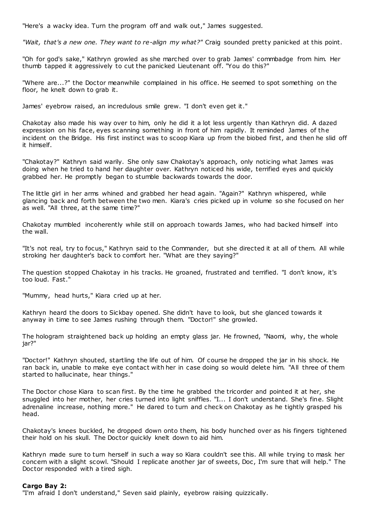"Here's a wacky idea. Turn the program off and walk out," James suggested.

*"Wait, that's a new one. They want to re-align my what?"* Craig sounded pretty panicked at this point.

"Oh for god's sake," Kathryn growled as she marched over to grab James' commbadge from him. Her thumb tapped it aggressively to cut the panicked Lieutenant off. "You do this?"

"Where are...?" the Doctor meanwhile complained in his office. He seemed to spot something on the floor, he knelt down to grab it.

James' eyebrow raised, an incredulous smile grew. "I don't even get it."

Chakotay also made his way over to him, only he did it a lot less urgently than Kathryn did. A dazed expression on his face, eyes scanning something in front of him rapidly. It reminded James of the incident on the Bridge. His first instinct was to scoop Kiara up from the biobed first, and then he slid off it himself.

"Chakotay?" Kathryn said warily. She only saw Chakotay's approach, only noticing what James was doing when he tried to hand her daughter over. Kathryn noticed his wide, terrified eyes and quickly grabbed her. He promptly began to stumble backwards towards the door.

The little girl in her arms whined and grabbed her head again. "Again?" Kathryn whispered, while glancing back and forth between the two men. Kiara's cries picked up in volume so she focused on her as well. "All three, at the same time?"

Chakotay mumbled incoherently while still on approach towards James, who had backed himself into the wall.

"It's not real, try to focus," Kathryn said to the Commander, but she directed it at all of them. All while stroking her daughter's back to comfort her. "What are they saying?"

The question stopped Chakotay in his tracks. He groaned, frustrated and terrified. "I don't know, it's too loud. Fast."

"Mummy, head hurts," Kiara cried up at her.

Kathryn heard the doors to Sickbay opened. She didn't have to look, but she glanced towards it anyway in time to see James rushing through them. "Doctor!" she growled.

The hologram straightened back up holding an empty glass jar. He frowned, "Naomi, why, the whole jar?"

"Doctor!" Kathryn shouted, startling the life out of him. Of course he dropped the jar in his shock. He ran back in, unable to make eye contact with her in case doing so would delete him. "All three of them started to hallucinate, hear things."

The Doctor chose Kiara to scan first. By the time he grabbed the tricorder and pointed it at her, she snuggled into her mother, her cries turned into light sniffles. "I... I don't understand. She's fine. Slight adrenaline increase, nothing more." He dared to turn and check on Chakotay as he tightly grasped his head.

Chakotay's knees buckled, he dropped down onto them, his body hunched over as his fingers tightened their hold on his skull. The Doctor quickly knelt down to aid him.

Kathryn made sure to turn herself in such a way so Kiara couldn't see this. All while trying to mask her concern with a slight scowl. "Should I replicate another jar of sweets, Doc, I'm sure that will help." The Doctor responded with a tired sigh.

#### **Cargo Bay 2:**

"I'm afraid I don't understand," Seven said plainly, eyebrow raising quizzically.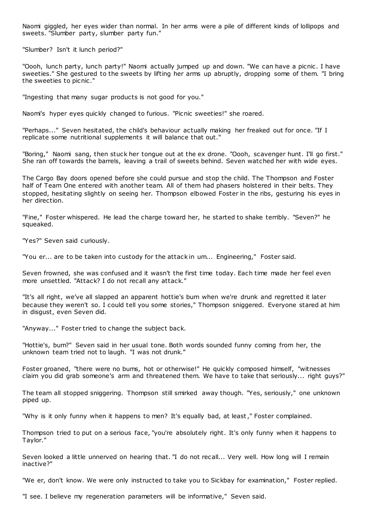Naomi giggled, her eyes wider than normal. In her arms were a pile of different kinds of lollipops and sweets. "Slumber party, slumber party fun."

"Slumber? Isn't it lunch period?"

"Oooh, lunch party, lunch party!" Naomi actually jumped up and down. "We can have a picnic . I have sweeties." She gestured to the sweets by lifting her arms up abruptly, dropping some of them. "I bring the sweeties to picnic ."

"Ingesting that many sugar products is not good for you."

Naomi's hyper eyes quickly changed to furious. "Picnic sweeties!" she roared.

"Perhaps..." Seven hesitated, the child's behaviour actually making her freaked out for once. "If I replicate some nutritional supplements it will balance that out."

"Boring," Naomi sang, then stuck her tongue out at the ex drone. "Oooh, scavenger hunt. I'll go first." She ran off towards the barrels, leaving a trail of sweets behind. Seven watched her with wide eyes.

The Cargo Bay doors opened before she could pursue and stop the child. The Thompson and Foster half of Team One entered with another team. All of them had phasers holstered in their belts. They stopped, hesitating slightly on seeing her. Thompson elbowed Foster in the ribs, gesturing his eyes in her direction.

"Fine," Foster whispered. He lead the charge toward her, he started to shake terribly. "Seven?" he squeaked.

"Yes?" Seven said curiously.

"You er... are to be taken into custody for the attack in um... Engineering," Foster said.

Seven frowned, she was confused and it wasn't the first time today. Each time made her feel even more unsettled. "Attack? I do not recall any attack."

"It's all right, we've all slapped an apparent hottie's bum when we're drunk and regretted it later because they weren't so. I could tell you some stories," Thompson sniggered. Everyone stared at him in disgust, even Seven did.

"Anyway..." Foster tried to change the subject back.

"Hottie's, bum?" Seven said in her usual tone. Both words sounded funny coming from her, the unknown team tried not to laugh. "I was not drunk."

Foster groaned, "there were no bums, hot or otherwise!" He quickly composed himself, "witnesses claim you did grab someone's arm and threatened them. We have to take that seriously... right guys?"

The team all stopped sniggering. Thompson still smirked away though. "Yes, seriously," one unknown piped up.

"Why is it only funny when it happens to men? It's equally bad, at least," Foster complained.

Thompson tried to put on a serious face, "you're absolutely right. It's only funny when it happens to Taylor."

Seven looked a little unnerved on hearing that. "I do not recall... Very well. How long will I remain inactive?"

"We er, don't know. We were only instructed to take you to Sickbay for examination," Foster replied.

"I see. I believe my regeneration parameters will be informative," Seven said.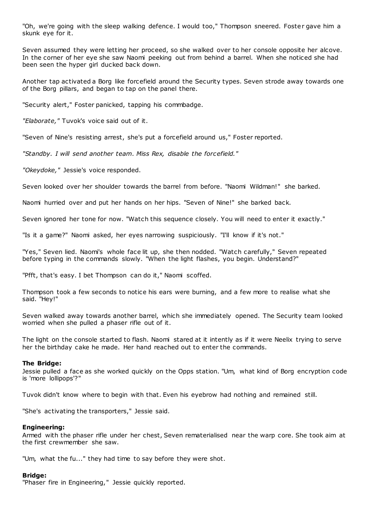"Oh, we're going with the sleep walking defence. I would too," Thompson sneered. Foster gave him a skunk eye for it.

Seven assumed they were letting her proceed, so she walked over to her console opposite her alcove. In the corner of her eye she saw Naomi peeking out from behind a barrel. When she noticed she had been seen the hyper girl ducked back down.

Another tap activated a Borg like forcefield around the Security types. Seven strode away towards one of the Borg pillars, and began to tap on the panel there.

"Security alert," Foster panicked, tapping his commbadge.

*"Elaborate,"* Tuvok's voice said out of it.

"Seven of Nine's resisting arrest, she's put a forcefield around us," Foster reported.

*"Standby. I will send another team. Miss Rex, disable the forcefield."*

*"Okeydoke,"* Jessie's voice responded.

Seven looked over her shoulder towards the barrel from before. "Naomi Wildman!" she barked.

Naomi hurried over and put her hands on her hips. "Seven of Nine!" she barked back.

Seven ignored her tone for now. "Watch this sequence closely. You will need to enter it exactly."

"Is it a game?" Naomi asked, her eyes narrowing suspiciously. "I'll know if it's not."

"Yes," Seven lied. Naomi's whole face lit up, she then nodded. "Watch carefully," Seven repeated before typing in the commands slowly. "When the light flashes, you begin. Understand?"

"Pfft, that's easy. I bet Thompson can do it," Naomi scoffed.

Thompson took a few seconds to notice his ears were burning, and a few more to realise what she said. "Hey!"

Seven walked away towards another barrel, which she immediately opened. The Security team looked worried when she pulled a phaser rifle out of it.

The light on the console started to flash. Naomi stared at it intently as if it were Neelix trying to serve her the birthday cake he made. Her hand reached out to enter the commands.

#### **The Bridge:**

Jessie pulled a face as she worked quickly on the Opps station. "Um, what kind of Borg encryption code is 'more lollipops'?"

Tuvok didn't know where to begin with that. Even his eyebrow had nothing and remained still.

"She's activating the transporters," Jessie said.

#### **Engineering:**

Armed with the phaser rifle under her chest, Seven rematerialised near the warp core. She took aim at the first crewmember she saw.

"Um, what the fu..." they had time to say before they were shot.

### **Bridge:**

"Phaser fire in Engineering," Jessie quickly reported.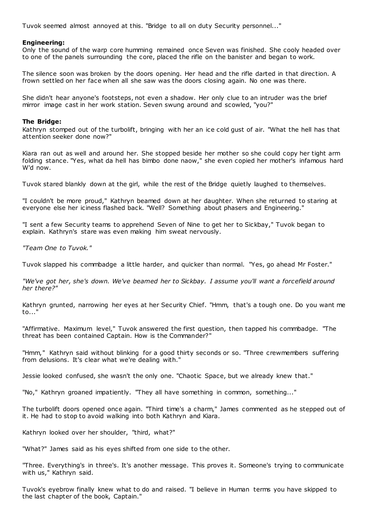Tuvok seemed almost annoyed at this. "Bridge to all on duty Security personnel..."

#### **Engineering:**

Only the sound of the warp core humming remained once Seven was finished. She cooly headed over to one of the panels surrounding the core, placed the rifle on the banister and began to work.

The silence soon was broken by the doors opening. Her head and the rifle darted in that direction. A frown settled on her face when all she saw was the doors closing again. No one was there.

She didn't hear anyone's footsteps, not even a shadow. Her only clue to an intruder was the brief mirror image cast in her work station. Seven swung around and scowled, "you?"

#### **The Bridge:**

Kathryn stomped out of the turbolift, bringing with her an ice cold gust of air. "What the hell has that attention seeker done now?"

Kiara ran out as well and around her. She stopped beside her mother so she could copy her tight arm folding stance. "Yes, what da hell has bimbo done naow," she even copied her mother's infamous hard W'd now.

Tuvok stared blankly down at the girl, while the rest of the Bridge quietly laughed to themselves.

"I couldn't be more proud," Kathryn beamed down at her daughter. When she returned to staring at everyone else her iciness flashed back. "Well? Something about phasers and Engineering."

"I sent a few Security teams to apprehend Seven of Nine to get her to Sickbay," Tuvok began to explain. Kathryn's stare was even making him sweat nervously.

*"Team One to Tuvok."*

Tuvok slapped his commbadge a little harder, and quicker than normal. "Yes, go ahead Mr Foster."

*"We've got her, she's down. We've beamed her to Sickbay. I assume you'll want a forcefield around her there?"*

Kathryn grunted, narrowing her eyes at her Security Chief. "Hmm, that's a tough one. Do you want me to..."

"Affirmative. Maximum level," Tuvok answered the first question, then tapped his commbadge. "The threat has been contained Captain. How is the Commander?"

"Hmm," Kathryn said without blinking for a good thirty seconds or so. "Three crewmembers suffering from delusions. It's clear what we're dealing with."

Jessie looked confused, she wasn't the only one. "Chaotic Space, but we already knew that."

"No," Kathryn groaned impatiently. "They all have something in common, something..."

The turbolift doors opened once again. "Third time's a charm," James commented as he stepped out of it. He had to stop to avoid walking into both Kathryn and Kiara.

Kathryn looked over her shoulder, "third, what?"

"What?" James said as his eyes shifted from one side to the other.

"Three. Everything's in three's. It's another message. This proves it. Someone's trying to communicate with us," Kathryn said.

Tuvok's eyebrow finally knew what to do and raised. "I believe in Human terms you have skipped to the last chapter of the book, Captain."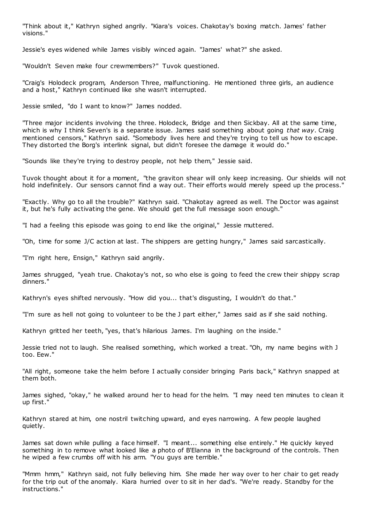"Think about it," Kathryn sighed angrily. "Kiara's voices. Chakotay's boxing match. James' father visions."

Jessie's eyes widened while James visibly winced again. "James' what?" she asked.

"Wouldn't Seven make four crewmembers?" Tuvok questioned.

"Craig's Holodeck program, Anderson Three, malfunctioning. He mentioned three girls, an audience and a host," Kathryn continued like she wasn't interrupted.

Jessie smiled, "do I want to know?" James nodded.

"Three major incidents involving the three. Holodeck, Bridge and then Sickbay. All at the same time, which is why I think Seven's is a separate issue. James said something about going *that way*. Craig mentioned censors," Kathryn said. "Somebody lives here and they're trying to tell us how to escape. They distorted the Borg's interlink signal, but didn't foresee the damage it would do."

"Sounds like they're trying to destroy people, not help them," Jessie said.

Tuvok thought about it for a moment, "the graviton shear will only keep increasing. Our shields will not hold indefinitely. Our sensors cannot find a way out. Their efforts would merely speed up the process.'

"Exactly. Why go to all the trouble?" Kathryn said. "Chakotay agreed as well. The Doctor was against it, but he's fully activating the gene. We should get the full message soon enough."

"I had a feeling this episode was going to end like the original," Jessie muttered.

"Oh, time for some J/C action at last. The shippers are getting hungry," James said sarcastically.

"I'm right here, Ensign," Kathryn said angrily.

James shrugged, "yeah true. Chakotay's not, so who else is going to feed the crew their shippy scrap dinners."

Kathryn's eyes shifted nervously. "How did you... that's disgusting, I wouldn't do that."

"I'm sure as hell not going to volunteer to be the J part either," James said as if she said nothing.

Kathryn gritted her teeth, "yes, that's hilarious James. I'm laughing on the inside."

Jessie tried not to laugh. She realised something, which worked a treat. "Oh, my name begins with J too. Eew."

"All right, someone take the helm before I actually consider bringing Paris back," Kathryn snapped at them both.

James sighed, "okay," he walked around her to head for the helm. "I may need ten minutes to clean it up first."

Kathryn stared at him, one nostril twitching upward, and eyes narrowing. A few people laughed quietly.

James sat down while pulling a face himself. "I meant... something else entirely." He quickly keyed something in to remove what looked like a photo of B'Elanna in the background of the controls. Then he wiped a few crumbs off with his arm. "You guys are terrible."

"Mmm hmm," Kathryn said, not fully believing him. She made her way over to her chair to get ready for the trip out of the anomaly. Kiara hurried over to sit in her dad's. "We're ready. Standby for the instructions."